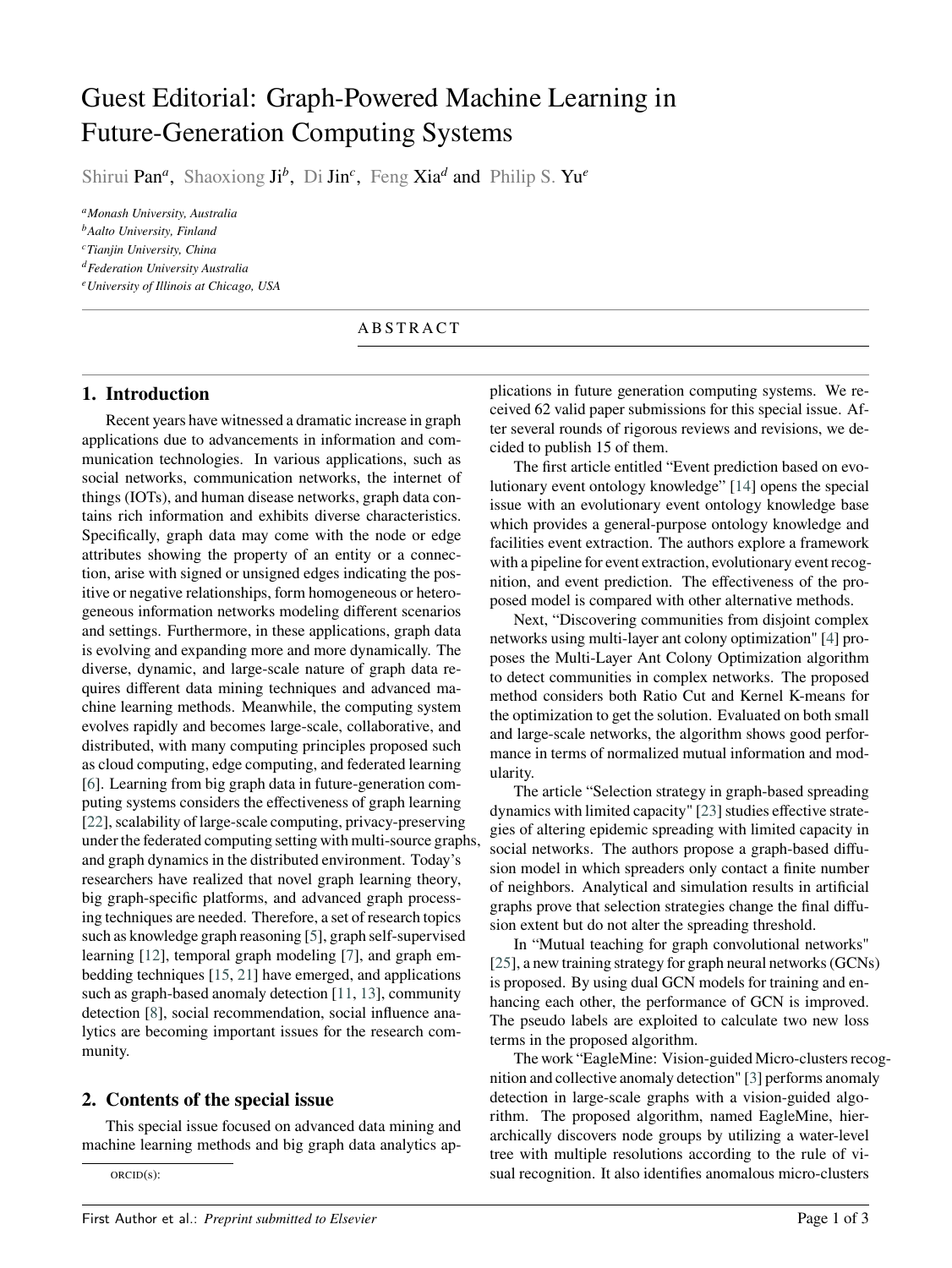# Guest Editorial: Graph-Powered Machine Learning in Future-Generation Computing Systems

Shirui Pan<sup>a</sup>, Shaoxiong Ji<sup>b</sup>, Di Jin<sup>c</sup>, Feng Xia<sup>d</sup> and Philip S. Yu<sup>e</sup>

*<sup>a</sup>Monash University, Australia*

*<sup>b</sup>Aalto University, Finland*

*<sup>c</sup>Tianjin University, China*

*<sup>d</sup>Federation University Australia*

*<sup>e</sup>University of Illinois at Chicago, USA*

#### A B S T R A C T

#### **1. Introduction**

Recent years have witnessed a dramatic increase in graph applications due to advancements in information and communication technologies. In various applications, such as social networks, communication networks, the internet of things (IOTs), and human disease networks, graph data contains rich information and exhibits diverse characteristics. Specifically, graph data may come with the node or edge attributes showing the property of an entity or a connection, arise with signed or unsigned edges indicating the positive or negative relationships, form homogeneous or heterogeneous information networks modeling different scenarios and settings. Furthermore, in these applications, graph data is evolving and expanding more and more dynamically. The diverse, dynamic, and large-scale nature of graph data requires different data mining techniques and advanced machine learning methods. Meanwhile, the computing system evolves rapidly and becomes large-scale, collaborative, and distributed, with many computing principles proposed such as cloud computing, edge computing, and federated learning [\[6\]](#page-2-0). Learning from big graph data in future-generation computing systems considers the effectiveness of graph learning [\[22\]](#page-2-1), scalability of large-scale computing, privacy-preserving under the federated computing setting with multi-source graphs, and graph dynamics in the distributed environment. Today's researchers have realized that novel graph learning theory, big graph-specific platforms, and advanced graph processing techniques are needed. Therefore, a set of research topics such as knowledge graph reasoning [\[5\]](#page-2-2), graph self-supervised learning [\[12\]](#page-2-3), temporal graph modeling [\[7\]](#page-2-4), and graph embedding techniques [\[15,](#page-2-5) [21\]](#page-2-6) have emerged, and applications such as graph-based anomaly detection [\[11,](#page-2-7) [13\]](#page-2-8), community detection [\[8\]](#page-2-9), social recommendation, social influence analytics are becoming important issues for the research community.

## **2. Contents of the special issue**

This special issue focused on advanced data mining and machine learning methods and big graph data analytics ap-

ORCID(s):

plications in future generation computing systems. We received 62 valid paper submissions for this special issue. After several rounds of rigorous reviews and revisions, we decided to publish 15 of them.

The first article entitled "Event prediction based on evolutionary event ontology knowledge" [\[14\]](#page-2-10) opens the special issue with an evolutionary event ontology knowledge base which provides a general-purpose ontology knowledge and facilities event extraction. The authors explore a framework with a pipeline for event extraction, evolutionary event recognition, and event prediction. The effectiveness of the proposed model is compared with other alternative methods.

Next, "Discovering communities from disjoint complex networks using multi-layer ant colony optimization" [\[4\]](#page-2-11) proposes the Multi-Layer Ant Colony Optimization algorithm to detect communities in complex networks. The proposed method considers both Ratio Cut and Kernel K-means for the optimization to get the solution. Evaluated on both small and large-scale networks, the algorithm shows good performance in terms of normalized mutual information and modularity.

The article "Selection strategy in graph-based spreading dynamics with limited capacity" [\[23\]](#page-2-12) studies effective strategies of altering epidemic spreading with limited capacity in social networks. The authors propose a graph-based diffusion model in which spreaders only contact a finite number of neighbors. Analytical and simulation results in artificial graphs prove that selection strategies change the final diffusion extent but do not alter the spreading threshold.

In "Mutual teaching for graph convolutional networks" [\[25\]](#page-2-13), a new training strategy for graph neural networks (GCNs) is proposed. By using dual GCN models for training and enhancing each other, the performance of GCN is improved. The pseudo labels are exploited to calculate two new loss terms in the proposed algorithm.

The work "EagleMine: Vision-guided Micro-clusters recognition and collective anomaly detection" [\[3\]](#page-2-14) performs anomaly detection in large-scale graphs with a vision-guided algorithm. The proposed algorithm, named EagleMine, hierarchically discovers node groups by utilizing a water-level tree with multiple resolutions according to the rule of visual recognition. It also identifies anomalous micro-clusters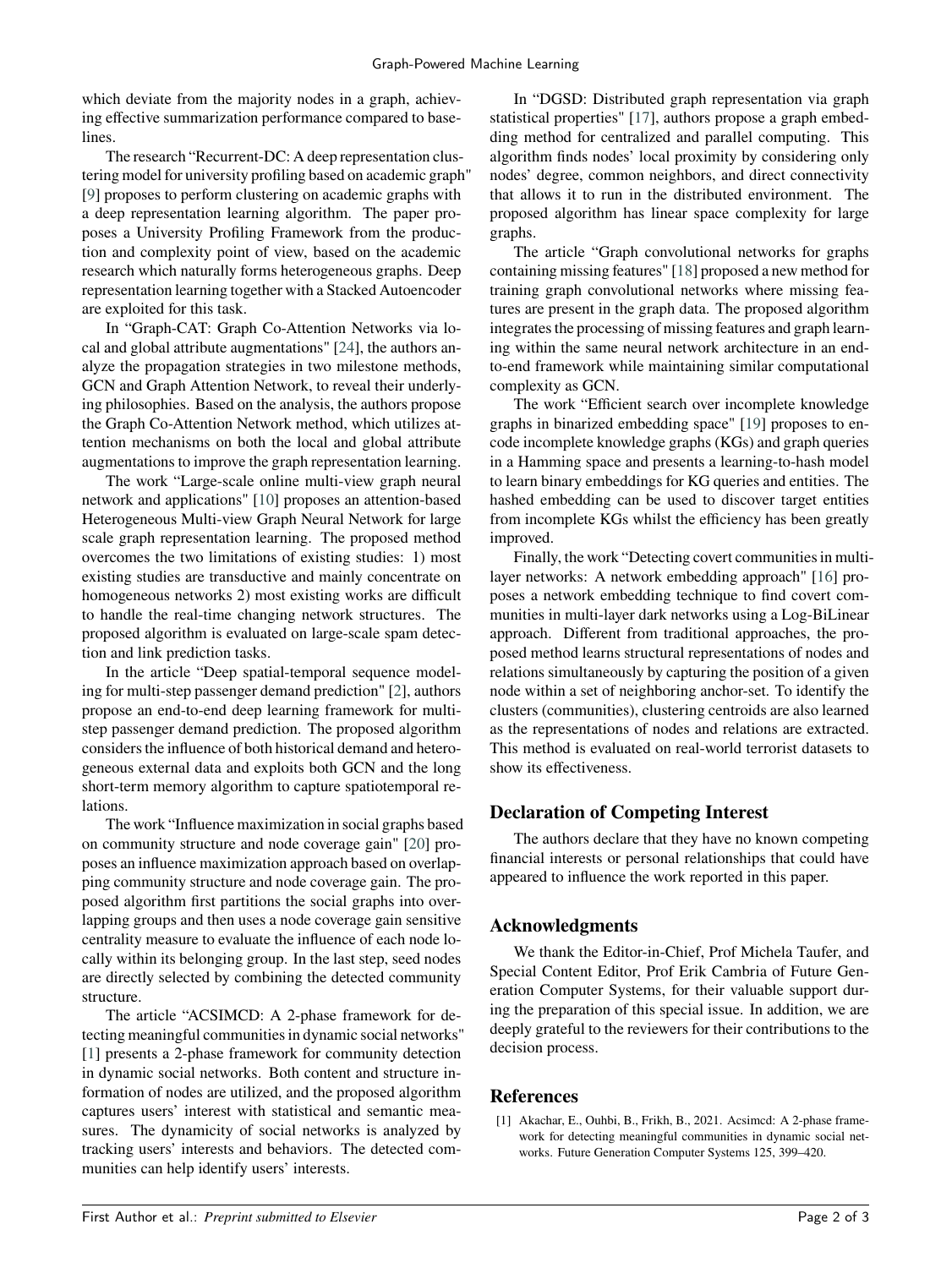which deviate from the majority nodes in a graph, achieving effective summarization performance compared to baselines.

The research "Recurrent-DC: A deep representation clustering model for university profiling based on academic graph" [\[9\]](#page-2-15) proposes to perform clustering on academic graphs with a deep representation learning algorithm. The paper proposes a University Profiling Framework from the production and complexity point of view, based on the academic research which naturally forms heterogeneous graphs. Deep representation learning together with a Stacked Autoencoder are exploited for this task.

In "Graph-CAT: Graph Co-Attention Networks via local and global attribute augmentations" [\[24\]](#page-2-16), the authors analyze the propagation strategies in two milestone methods, GCN and Graph Attention Network, to reveal their underlying philosophies. Based on the analysis, the authors propose the Graph Co-Attention Network method, which utilizes attention mechanisms on both the local and global attribute augmentations to improve the graph representation learning.

The work "Large-scale online multi-view graph neural network and applications" [\[10\]](#page-2-17) proposes an attention-based Heterogeneous Multi-view Graph Neural Network for large scale graph representation learning. The proposed method overcomes the two limitations of existing studies: 1) most existing studies are transductive and mainly concentrate on homogeneous networks 2) most existing works are difficult to handle the real-time changing network structures. The proposed algorithm is evaluated on large-scale spam detection and link prediction tasks.

In the article "Deep spatial-temporal sequence modeling for multi-step passenger demand prediction" [\[2\]](#page-2-18), authors propose an end-to-end deep learning framework for multistep passenger demand prediction. The proposed algorithm considers the influence of both historical demand and heterogeneous external data and exploits both GCN and the long short-term memory algorithm to capture spatiotemporal relations.

The work "Influence maximization in social graphs based on community structure and node coverage gain" [\[20\]](#page-2-19) proposes an influence maximization approach based on overlapping community structure and node coverage gain. The proposed algorithm first partitions the social graphs into overlapping groups and then uses a node coverage gain sensitive centrality measure to evaluate the influence of each node locally within its belonging group. In the last step, seed nodes are directly selected by combining the detected community structure.

The article "ACSIMCD: A 2-phase framework for detecting meaningful communities in dynamic social networks" [\[1\]](#page-1-0) presents a 2-phase framework for community detection in dynamic social networks. Both content and structure information of nodes are utilized, and the proposed algorithm captures users' interest with statistical and semantic measures. The dynamicity of social networks is analyzed by tracking users' interests and behaviors. The detected communities can help identify users' interests.

In "DGSD: Distributed graph representation via graph statistical properties" [\[17\]](#page-2-20), authors propose a graph embedding method for centralized and parallel computing. This algorithm finds nodes' local proximity by considering only nodes' degree, common neighbors, and direct connectivity that allows it to run in the distributed environment. The proposed algorithm has linear space complexity for large graphs.

The article "Graph convolutional networks for graphs containing missing features" [\[18\]](#page-2-21) proposed a new method for training graph convolutional networks where missing features are present in the graph data. The proposed algorithm integrates the processing of missing features and graph learning within the same neural network architecture in an endto-end framework while maintaining similar computational complexity as GCN.

The work "Efficient search over incomplete knowledge graphs in binarized embedding space" [\[19\]](#page-2-22) proposes to encode incomplete knowledge graphs (KGs) and graph queries in a Hamming space and presents a learning-to-hash model to learn binary embeddings for KG queries and entities. The hashed embedding can be used to discover target entities from incomplete KGs whilst the efficiency has been greatly improved.

Finally, the work "Detecting covert communities in multilayer networks: A network embedding approach" [\[16\]](#page-2-23) proposes a network embedding technique to find covert communities in multi-layer dark networks using a Log-BiLinear approach. Different from traditional approaches, the proposed method learns structural representations of nodes and relations simultaneously by capturing the position of a given node within a set of neighboring anchor-set. To identify the clusters (communities), clustering centroids are also learned as the representations of nodes and relations are extracted. This method is evaluated on real-world terrorist datasets to show its effectiveness.

## **Declaration of Competing Interest**

The authors declare that they have no known competing financial interests or personal relationships that could have appeared to influence the work reported in this paper.

## **Acknowledgments**

We thank the Editor-in-Chief, Prof Michela Taufer, and Special Content Editor, Prof Erik Cambria of Future Generation Computer Systems, for their valuable support during the preparation of this special issue. In addition, we are deeply grateful to the reviewers for their contributions to the decision process.

## **References**

<span id="page-1-0"></span>[1] Akachar, E., Ouhbi, B., Frikh, B., 2021. Acsimcd: A 2-phase framework for detecting meaningful communities in dynamic social networks. Future Generation Computer Systems 125, 399–420.